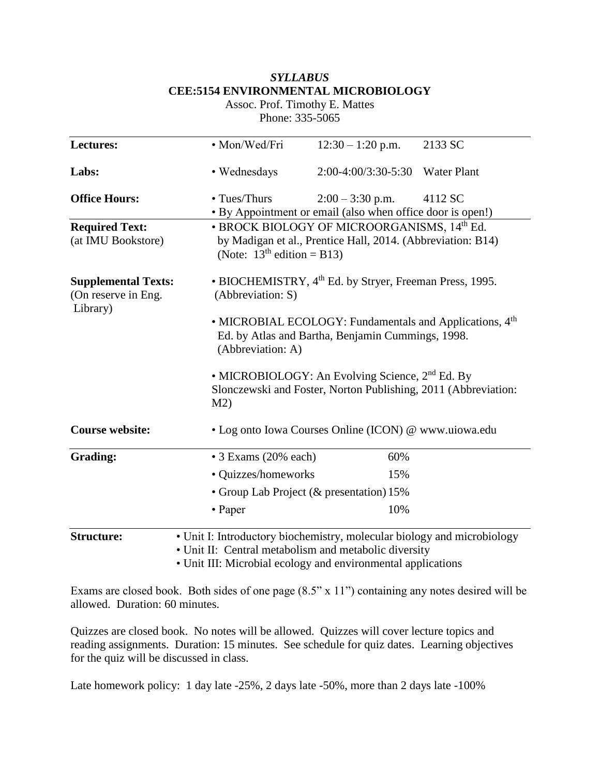# *SYLLABUS* **CEE:5154 ENVIRONMENTAL MICROBIOLOGY**

Assoc. Prof. Timothy E. Mattes Phone: 335-5065

| Lectures:                                                     | • Mon/Wed/Fri                                                                                                                                 | $12:30 - 1:20$ p.m.                                                                                                                        | 2133 SC |  |
|---------------------------------------------------------------|-----------------------------------------------------------------------------------------------------------------------------------------------|--------------------------------------------------------------------------------------------------------------------------------------------|---------|--|
| Labs:                                                         | • Wednesdays                                                                                                                                  | 2:00-4:00/3:30-5:30 Water Plant                                                                                                            |         |  |
| <b>Office Hours:</b>                                          | • Tues/Thurs                                                                                                                                  | $2:00 - 3:30$ p.m.<br>• By Appointment or email (also when office door is open!)                                                           | 4112 SC |  |
| <b>Required Text:</b><br>(at IMU Bookstore)                   |                                                                                                                                               | • BROCK BIOLOGY OF MICROORGANISMS, 14th Ed.<br>by Madigan et al., Prentice Hall, 2014. (Abbreviation: B14)<br>(Note: $13th$ edition = B13) |         |  |
| <b>Supplemental Texts:</b><br>(On reserve in Eng.<br>Library) | • BIOCHEMISTRY, 4 <sup>th</sup> Ed. by Stryer, Freeman Press, 1995.<br>(Abbreviation: S)                                                      |                                                                                                                                            |         |  |
|                                                               | • MICROBIAL ECOLOGY: Fundamentals and Applications, 4 <sup>th</sup><br>Ed. by Atlas and Bartha, Benjamin Cummings, 1998.<br>(Abbreviation: A) |                                                                                                                                            |         |  |
|                                                               | • MICROBIOLOGY: An Evolving Science, 2 <sup>nd</sup> Ed. By<br>Slonczewski and Foster, Norton Publishing, 2011 (Abbreviation:<br>M2)          |                                                                                                                                            |         |  |
| <b>Course website:</b>                                        | • Log onto Iowa Courses Online (ICON) @ www.uiowa.edu                                                                                         |                                                                                                                                            |         |  |
| <b>Grading:</b>                                               | • 3 Exams (20% each)                                                                                                                          | 60%                                                                                                                                        |         |  |
|                                                               | • Quizzes/homeworks                                                                                                                           | 15%                                                                                                                                        |         |  |
|                                                               | • Group Lab Project (& presentation) 15%                                                                                                      |                                                                                                                                            |         |  |
|                                                               | • Paper                                                                                                                                       | 10%                                                                                                                                        |         |  |
| <b>Structure:</b>                                             |                                                                                                                                               | • Unit I: Introductory biochemistry, molecular biology and microbiology<br>• Unit II: Central metabolism and metabolic diversity           |         |  |

• Unit III: Microbial ecology and environmental applications

Exams are closed book. Both sides of one page (8.5" x 11") containing any notes desired will be allowed. Duration: 60 minutes.

Quizzes are closed book. No notes will be allowed. Quizzes will cover lecture topics and reading assignments. Duration: 15 minutes. See schedule for quiz dates. Learning objectives for the quiz will be discussed in class.

Late homework policy: 1 day late -25%, 2 days late -50%, more than 2 days late -100%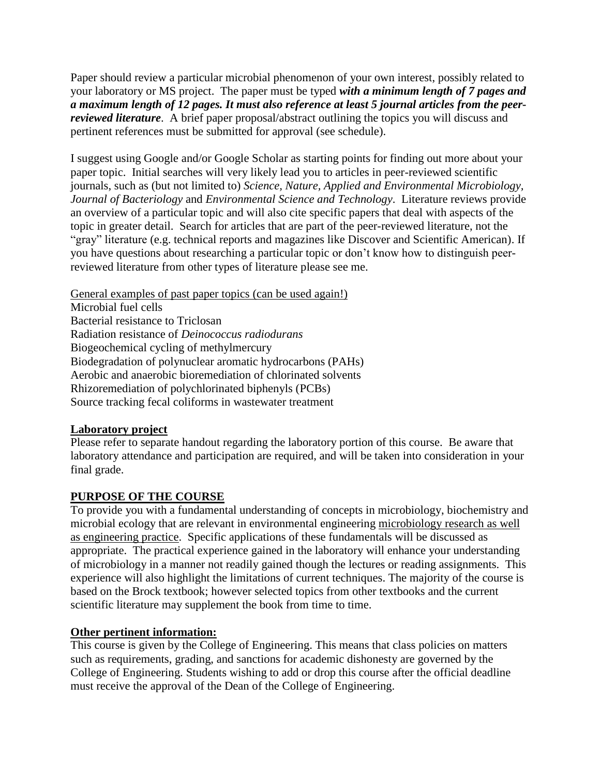Paper should review a particular microbial phenomenon of your own interest, possibly related to your laboratory or MS project. The paper must be typed *with a minimum length of 7 pages and a maximum length of 12 pages. It must also reference at least 5 journal articles from the peerreviewed literature*. A brief paper proposal/abstract outlining the topics you will discuss and pertinent references must be submitted for approval (see schedule).

I suggest using Google and/or Google Scholar as starting points for finding out more about your paper topic. Initial searches will very likely lead you to articles in peer-reviewed scientific journals, such as (but not limited to) *Science, Nature, Applied and Environmental Microbiology, Journal of Bacteriology* and *Environmental Science and Technology*. Literature reviews provide an overview of a particular topic and will also cite specific papers that deal with aspects of the topic in greater detail. Search for articles that are part of the peer-reviewed literature, not the "gray" literature (e.g. technical reports and magazines like Discover and Scientific American). If you have questions about researching a particular topic or don't know how to distinguish peerreviewed literature from other types of literature please see me.

General examples of past paper topics (can be used again!) Microbial fuel cells Bacterial resistance to Triclosan Radiation resistance of *Deinococcus radiodurans* Biogeochemical cycling of methylmercury Biodegradation of polynuclear aromatic hydrocarbons (PAHs) Aerobic and anaerobic bioremediation of chlorinated solvents Rhizoremediation of polychlorinated biphenyls (PCBs) Source tracking fecal coliforms in wastewater treatment

## **Laboratory project**

Please refer to separate handout regarding the laboratory portion of this course. Be aware that laboratory attendance and participation are required, and will be taken into consideration in your final grade.

## **PURPOSE OF THE COURSE**

To provide you with a fundamental understanding of concepts in microbiology, biochemistry and microbial ecology that are relevant in environmental engineering microbiology research as well as engineering practice. Specific applications of these fundamentals will be discussed as appropriate. The practical experience gained in the laboratory will enhance your understanding of microbiology in a manner not readily gained though the lectures or reading assignments. This experience will also highlight the limitations of current techniques. The majority of the course is based on the Brock textbook; however selected topics from other textbooks and the current scientific literature may supplement the book from time to time.

## **Other pertinent information:**

This course is given by the College of Engineering. This means that class policies on matters such as requirements, grading, and sanctions for academic dishonesty are governed by the College of Engineering. Students wishing to add or drop this course after the official deadline must receive the approval of the Dean of the College of Engineering.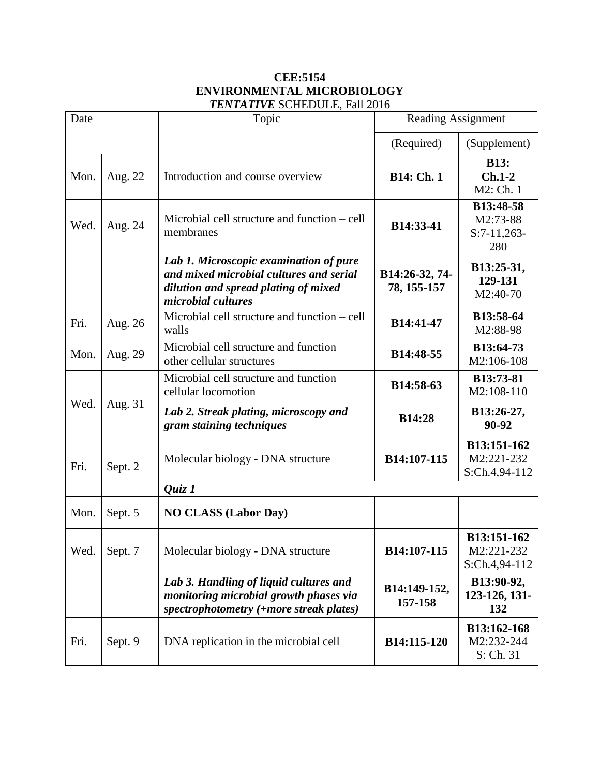### **CEE:5154 ENVIRONMENTAL MICROBIOLOGY** *TENTATIVE* SCHEDULE, Fall 2016

| Date |         | Topic                                                                                                                                           | <b>Reading Assignment</b>     |                                               |
|------|---------|-------------------------------------------------------------------------------------------------------------------------------------------------|-------------------------------|-----------------------------------------------|
|      |         |                                                                                                                                                 | (Required)                    | (Supplement)                                  |
| Mon. | Aug. 22 | Introduction and course overview                                                                                                                | <b>B14: Ch. 1</b>             | <b>B13:</b><br>$Ch.1-2$<br>M2: Ch. 1          |
| Wed. | Aug. 24 | Microbial cell structure and function – cell<br>membranes                                                                                       | B14:33-41                     | B13:48-58<br>M2:73-88<br>$S:7-11,263-$<br>280 |
|      |         | Lab 1. Microscopic examination of pure<br>and mixed microbial cultures and serial<br>dilution and spread plating of mixed<br>microbial cultures | B14:26-32, 74-<br>78, 155-157 | B13:25-31,<br>129-131<br>M2:40-70             |
| Fri. | Aug. 26 | Microbial cell structure and function – cell<br>walls                                                                                           | B14:41-47                     | B13:58-64<br>M2:88-98                         |
| Mon. | Aug. 29 | Microbial cell structure and function -<br>other cellular structures                                                                            | B14:48-55                     | B13:64-73<br>M2:106-108                       |
| Wed. | Aug. 31 | Microbial cell structure and function -<br>cellular locomotion                                                                                  | B14:58-63                     | B13:73-81<br>M2:108-110                       |
|      |         | Lab 2. Streak plating, microscopy and<br>gram staining techniques                                                                               | <b>B14:28</b>                 | B13:26-27,<br>90-92                           |
| Fri. | Sept. 2 | Molecular biology - DNA structure                                                                                                               | B14:107-115                   | B13:151-162<br>M2:221-232<br>S:Ch.4,94-112    |
|      |         | Quiz 1                                                                                                                                          |                               |                                               |
| Mon. | Sept. 5 | <b>NO CLASS (Labor Day)</b>                                                                                                                     |                               |                                               |
| Wed. | Sept. 7 | Molecular biology - DNA structure                                                                                                               | B14:107-115                   | B13:151-162<br>M2:221-232<br>S:Ch.4,94-112    |
|      |         | Lab 3. Handling of liquid cultures and<br>monitoring microbial growth phases via<br>spectrophotometry (+more streak plates)                     | B14:149-152,<br>157-158       | B13:90-92,<br>123-126, 131-<br>132            |
| Fri. | Sept. 9 | DNA replication in the microbial cell                                                                                                           | B14:115-120                   | B13:162-168<br>M2:232-244<br>S: Ch. 31        |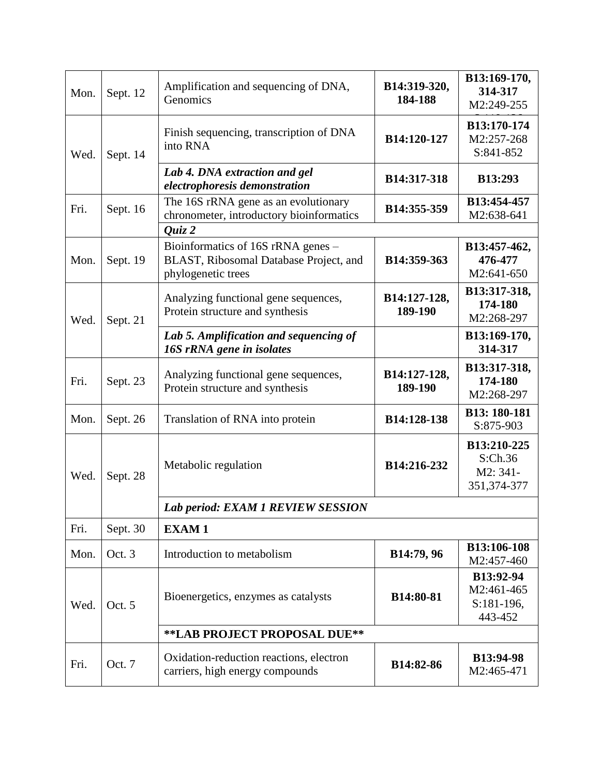| Mon. | Sept. 12                     | Amplification and sequencing of DNA,<br>Genomics                                                   | B14:319-320,<br>184-188 | B13:169-170,<br>314-317<br>M2:249-255             |  |
|------|------------------------------|----------------------------------------------------------------------------------------------------|-------------------------|---------------------------------------------------|--|
| Wed. | Sept. 14                     | Finish sequencing, transcription of DNA<br>into RNA                                                | B14:120-127             | B13:170-174<br>M2:257-268<br>S:841-852            |  |
|      |                              | Lab 4. DNA extraction and gel<br>electrophoresis demonstration                                     | B14:317-318             | <b>B13:293</b>                                    |  |
| Fri. | Sept. 16                     | The 16S rRNA gene as an evolutionary<br>chronometer, introductory bioinformatics<br>$Q$ uiz 2      | B14:355-359             | B13:454-457<br>M2:638-641                         |  |
| Mon. | Sept. 19                     | Bioinformatics of 16S rRNA genes -<br>BLAST, Ribosomal Database Project, and<br>phylogenetic trees | B14:359-363             | B13:457-462,<br>476-477<br>M2:641-650             |  |
| Wed. | Sept. 21                     | Analyzing functional gene sequences,<br>Protein structure and synthesis                            | B14:127-128,<br>189-190 | B13:317-318,<br>174-180<br>M2:268-297             |  |
|      |                              | Lab 5. Amplification and sequencing of<br>16S rRNA gene in isolates                                |                         | B13:169-170,<br>314-317                           |  |
| Fri. | Sept. 23                     | Analyzing functional gene sequences,<br>Protein structure and synthesis                            | B14:127-128,<br>189-190 | B13:317-318,<br>174-180<br>M2:268-297             |  |
| Mon. | Sept. 26                     | Translation of RNA into protein                                                                    | B14:128-138             | B13: 180-181<br>S:875-903                         |  |
| Wed. | Sept. 28                     | Metabolic regulation                                                                               | B14:216-232             | B13:210-225<br>S:Ch.36<br>M2: 341-<br>351,374-377 |  |
|      |                              | Lab period: EXAM 1 REVIEW SESSION                                                                  |                         |                                                   |  |
| Fri. | Sept. 30                     | <b>EXAM1</b>                                                                                       |                         |                                                   |  |
| Mon. | Oct. 3                       | Introduction to metabolism                                                                         | B14:79, 96              | B13:106-108<br>M2:457-460                         |  |
| Wed. | Oct. 5                       | Bioenergetics, enzymes as catalysts                                                                | B14:80-81               | B13:92-94<br>M2:461-465<br>S:181-196,<br>443-452  |  |
|      | **LAB PROJECT PROPOSAL DUE** |                                                                                                    |                         |                                                   |  |
| Fri. | Oct. 7                       | Oxidation-reduction reactions, electron<br>carriers, high energy compounds                         | B14:82-86               | <b>B13:94-98</b><br>M2:465-471                    |  |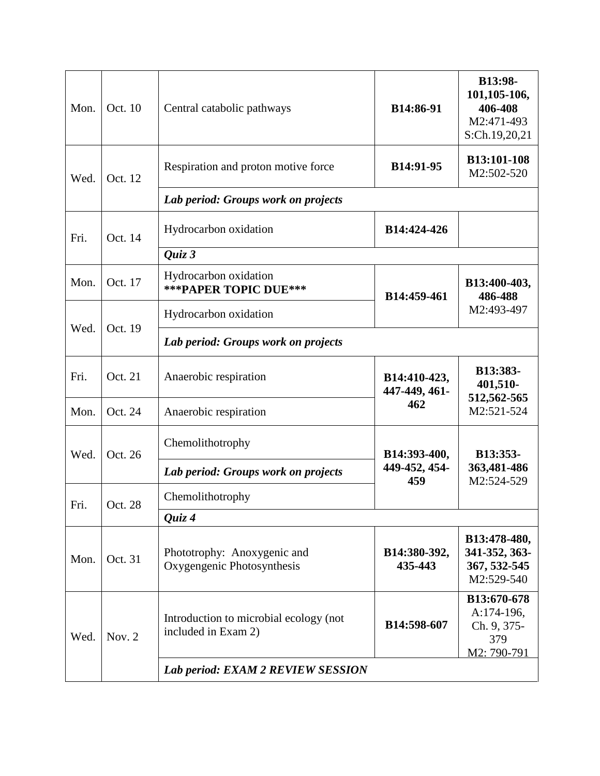| Mon.   | Oct. 10  | Central catabolic pathways                                    | B14:86-91                            | B13:98-<br>101,105-106,<br>406-408<br>M2:471-493<br>S:Ch.19,20,21 |  |
|--------|----------|---------------------------------------------------------------|--------------------------------------|-------------------------------------------------------------------|--|
| Wed.   | Oct. 12  | Respiration and proton motive force                           | B14:91-95                            | B13:101-108<br>M2:502-520                                         |  |
|        |          | Lab period: Groups work on projects                           |                                      |                                                                   |  |
| Fri.   | Oct. 14  | Hydrocarbon oxidation                                         | B14:424-426                          |                                                                   |  |
|        |          | Quiz 3                                                        |                                      |                                                                   |  |
| Mon.   | Oct. 17  | Hydrocarbon oxidation<br>*** PAPER TOPIC DUE***               | B14:459-461                          | B13:400-403,<br>486-488                                           |  |
|        |          | Hydrocarbon oxidation                                         |                                      | M2:493-497                                                        |  |
| Wed.   | Oct. 19  | Lab period: Groups work on projects                           |                                      |                                                                   |  |
| Fri.   | Oct. 21  | Anaerobic respiration                                         | B14:410-423,<br>447-449, 461-        | B13:383-<br>401,510-<br>512,562-565                               |  |
| Mon.   | Oct. 24  | Anaerobic respiration                                         | 462                                  | M2:521-524                                                        |  |
| Wed.   | Oct. 26  | Chemolithotrophy                                              | B14:393-400,<br>449-452, 454-<br>459 | B13:353-<br>363,481-486<br>M2:524-529                             |  |
|        |          | Lab period: Groups work on projects                           |                                      |                                                                   |  |
| Fri.   | Oct. 28  | Chemolithotrophy                                              |                                      |                                                                   |  |
| Quiz 4 |          |                                                               |                                      |                                                                   |  |
| Mon.   | Oct. 31  | Phototrophy: Anoxygenic and<br>Oxygengenic Photosynthesis     | B14:380-392,<br>435-443              | B13:478-480,<br>341-352, 363-<br>367, 532-545<br>M2:529-540       |  |
| Wed.   | Nov. $2$ | Introduction to microbial ecology (not<br>included in Exam 2) | B14:598-607                          | B13:670-678<br>A:174-196,<br>Ch. 9, 375-<br>379<br>M2: 790-791    |  |
|        |          | Lab period: EXAM 2 REVIEW SESSION                             |                                      |                                                                   |  |